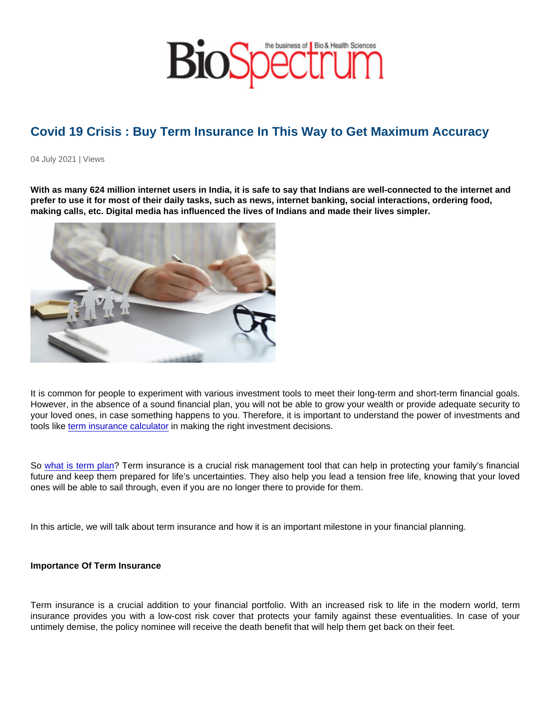## Covid 19 Crisis : Buy Term Insurance In This Way to Get Maximum Accuracy

04 July 2021 | Views

With as many 624 million internet users in India, it is safe to say that Indians are well-connected to the internet and prefer to use it for most of their daily tasks, such as news, internet banking, social interactions, ordering food, making calls, etc. Digital media has influenced the lives of Indians and made their lives simpler.

It is common for people to experiment with various investment tools to meet their long-term and short-term financial goals. However, in the absence of a sound financial plan, you will not be able to grow your wealth or provide adequate security to your loved ones, in case something happens to you. Therefore, it is important to understand the power of investments and tools like [term insurance calculator](https://www.maxlifeinsurance.com/term-insurance-plans/get-quote) in making the right investment decisions.

So [what is term plan?](https://www.maxlifeinsurance.com/what-is-term-insurance) Term insurance is a crucial risk management tool that can help in protecting your family's financial future and keep them prepared for life's uncertainties. They also help you lead a tension free life, knowing that your loved ones will be able to sail through, even if you are no longer there to provide for them.

In this article, we will talk about term insurance and how it is an important milestone in your financial planning.

Importance Of Term Insurance

Term insurance is a crucial addition to your financial portfolio. With an increased risk to life in the modern world, term insurance provides you with a low-cost risk cover that protects your family against these eventualities. In case of your untimely demise, the policy nominee will receive the death benefit that will help them get back on their feet.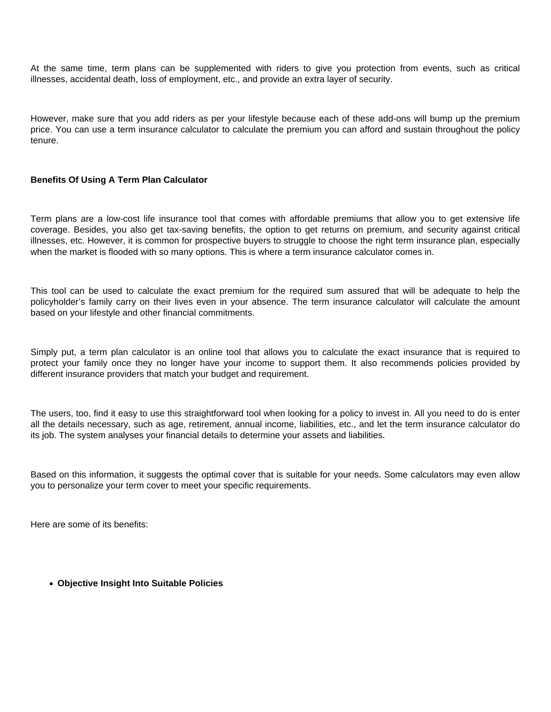At the same time, term plans can be supplemented with riders to give you protection from events, such as critical illnesses, accidental death, loss of employment, etc., and provide an extra layer of security.

However, make sure that you add riders as per your lifestyle because each of these add-ons will bump up the premium price. You can use a term insurance calculator to calculate the premium you can afford and sustain throughout the policy tenure.

## **Benefits Of Using A Term Plan Calculator**

Term plans are a low-cost life insurance tool that comes with affordable premiums that allow you to get extensive life coverage. Besides, you also get tax-saving benefits, the option to get returns on premium, and security against critical illnesses, etc. However, it is common for prospective buyers to struggle to choose the right term insurance plan, especially when the market is flooded with so many options. This is where a term insurance calculator comes in.

This tool can be used to calculate the exact premium for the required sum assured that will be adequate to help the policyholder's family carry on their lives even in your absence. The term insurance calculator will calculate the amount based on your lifestyle and other financial commitments.

Simply put, a term plan calculator is an online tool that allows you to calculate the exact insurance that is required to protect your family once they no longer have your income to support them. It also recommends policies provided by different insurance providers that match your budget and requirement.

The users, too, find it easy to use this straightforward tool when looking for a policy to invest in. All you need to do is enter all the details necessary, such as age, retirement, annual income, liabilities, etc., and let the term insurance calculator do its job. The system analyses your financial details to determine your assets and liabilities.

Based on this information, it suggests the optimal cover that is suitable for your needs. Some calculators may even allow you to personalize your term cover to meet your specific requirements.

Here are some of its benefits:

**Objective Insight Into Suitable Policies**